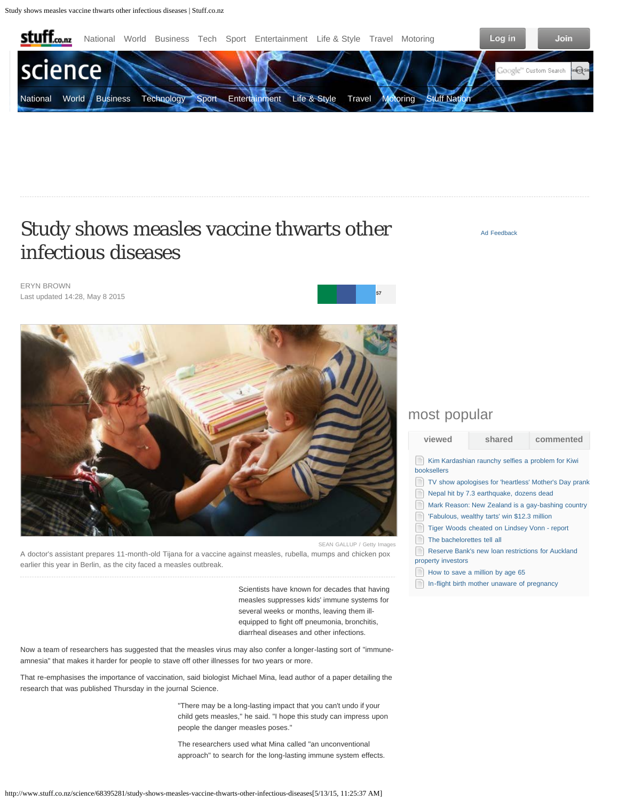<span id="page-0-1"></span>

# Study shows measles vaccine thwarts other infectious diseases

[Ad Feedback](http://stuff.co.nz/about-stuff/advertising-feedback/?pos=sectiontopright&adsize=300x250&area=onl.stuff.science/homepage)

ERYN BROWN Last updated 14:28, May 8 2015



<span id="page-0-0"></span>A doctor's assistant prepares 11-month-old Tijana for a vaccine against measles, rubella, mumps and chicken pox earlier this year in Berlin, as the city faced a measles outbreak.

> Scientists have known for decades that having measles suppresses kids' immune systems for several weeks or months, leaving them illequipped to fight off pneumonia, bronchitis, diarrheal diseases and other infections.

Now a team of researchers has suggested that the measles virus may also confer a longer-lasting sort of "immuneamnesia" that makes it harder for people to stave off other illnesses for two years or more.

That re-emphasises the importance of vaccination, said biologist Michael Mina, lead author of a paper detailing the research that was published Thursday in the journal Science.

> "There may be a long-lasting impact that you can't undo if your child gets measles," he said. "I hope this study can impress upon people the danger measles poses."

The researchers used what Mina called "an unconventional approach" to search for the long-lasting immune system effects.

## most popular

**[5](#page-2-0)[7](javascript:;)**

**[viewed](#page-0-0) [shared](#page-0-1) [commented](#page-0-1)** [Kim Kardashian raunchy selfies a problem for Kiwi](http://www.stuff.co.nz/entertainment/books/68472045/Kim-Kardashian-raunchy-selfies-a-problem-for-Kiwi-booksellers) [booksellers](http://www.stuff.co.nz/entertainment/books/68472045/Kim-Kardashian-raunchy-selfies-a-problem-for-Kiwi-booksellers)

- [TV show apologises for 'heartless' Mother's Day prank](http://www.stuff.co.nz/entertainment/tv-radio/68502308/TV-show-apologises-for-heartless-Mothers-Day-prank)
- [Nepal hit by 7.3 earthquake, dozens dead](http://www.stuff.co.nz/world/asia/68501430/Nepal-hit-by-7-3-earthquake-dozens-dead)
- [Mark Reason: New Zealand is a gay-bashing country](http://www.stuff.co.nz/sport/opinion/68475743/Mark-Reason-New-Zealand-is-a-gay-bashing-country)
- Fabulous, wealthy tarts' win \$12.3 million
- 目 [Tiger Woods cheated on Lindsey Vonn - report](http://www.stuff.co.nz/sport/golf/68502580/Tiger-Woods-cheated-on-Lindsey-Vonn-report)
- $\equiv$ [The bachelorettes tell all](http://www.stuff.co.nz/entertainment/tv-radio/68492884/The-bachelorettes-tell-all)
- [Reserve Bank's new loan restrictions for Auckland](http://www.stuff.co.nz/business/industries/68502913/Reserve-Banks-new-loan-restrictions-for-Auckland-property-investors) [property investors](http://www.stuff.co.nz/business/industries/68502913/Reserve-Banks-new-loan-restrictions-for-Auckland-property-investors)
- $\equiv$  [How to save a million by age 65](http://www.stuff.co.nz/business/money/68471792/How-to-save-a-million-by-age-65)
- $\equiv$  [In-flight birth mother unaware of pregnancy](http://www.stuff.co.nz/life-style/parenting/baby/68499636/In-flight-birth-mother-unaware-of-pregnancy)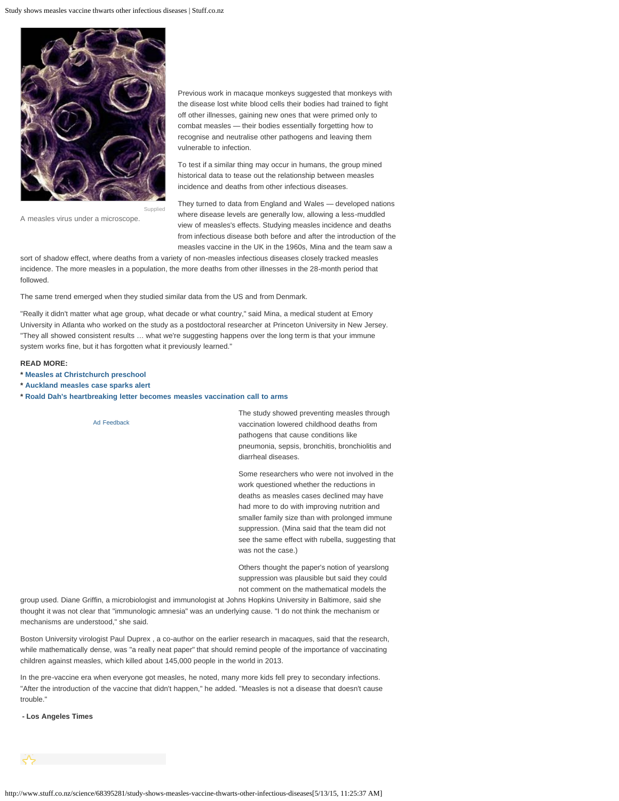

Previous work in macaque monkeys suggested that monkeys with the disease lost white blood cells their bodies had trained to fight off other illnesses, gaining new ones that were primed only to combat measles — their bodies essentially forgetting how to recognise and neutralise other pathogens and leaving them vulnerable to infection.

To test if a similar thing may occur in humans, the group mined historical data to tease out the relationship between measles incidence and deaths from other infectious diseases.

They turned to data from England and Wales — developed nations where disease levels are generally low, allowing a less-muddled view of measles's effects. Studying measles incidence and deaths from infectious disease both before and after the introduction of the measles vaccine in the UK in the 1960s, Mina and the team saw a

sort of shadow effect, where deaths from a variety of non-measles infectious diseases closely tracked measles incidence. The more measles in a population, the more deaths from other illnesses in the 28-month period that followed.

The same trend emerged when they studied similar data from the US and from Denmark.

"Really it didn't matter what age group, what decade or what country," said Mina, a medical student at Emory University in Atlanta who worked on the study as a postdoctoral researcher at Princeton University in New Jersey. "They all showed consistent results … what we're suggesting happens over the long term is that your immune system works fine, but it has forgotten what it previously learned."

#### **READ MORE:**

- **\* [Measles at Christchurch preschool](http://www.stuff.co.nz/national/health/67144438/Measles-at-Christchurch-preschool)**
- **\* [Auckland measles case sparks alert](http://www.stuff.co.nz/national/health/67809809/auckland-measles-case-sparks-alert)**
- **\* [Roald Dah's heartbreaking letter becomes measles vaccination call to arms](http://www.stuff.co.nz/life-style/well-good/inspire-me/65710664/Roald-Dahls-heartbreaking-letter-becomes-measles-vaccination-call-to-arms)**



Others thought the paper's notion of yearslong suppression was plausible but said they could not comment on the mathematical models the

group used. Diane Griffin, a microbiologist and immunologist at Johns Hopkins University in Baltimore, said she thought it was not clear that "immunologic amnesia" was an underlying cause. "I do not think the mechanism or mechanisms are understood," she said.

Boston University virologist Paul Duprex , a co-author on the earlier research in macaques, said that the research, while mathematically dense, was "a really neat paper" that should remind people of the importance of vaccinating children against measles, which killed about 145,000 people in the world in 2013.

In the pre-vaccine era when everyone got measles, he noted, many more kids fell prey to secondary infections. "After the introduction of the vaccine that didn't happen," he added. "Measles is not a disease that doesn't cause trouble."

**- Los Angeles Times**

A measles virus under a microscope.

http://www.stuff.co.nz/science/68395281/study-shows-measles-vaccine-thwarts-other-infectious-diseases[5/13/15, 11:25:37 AM]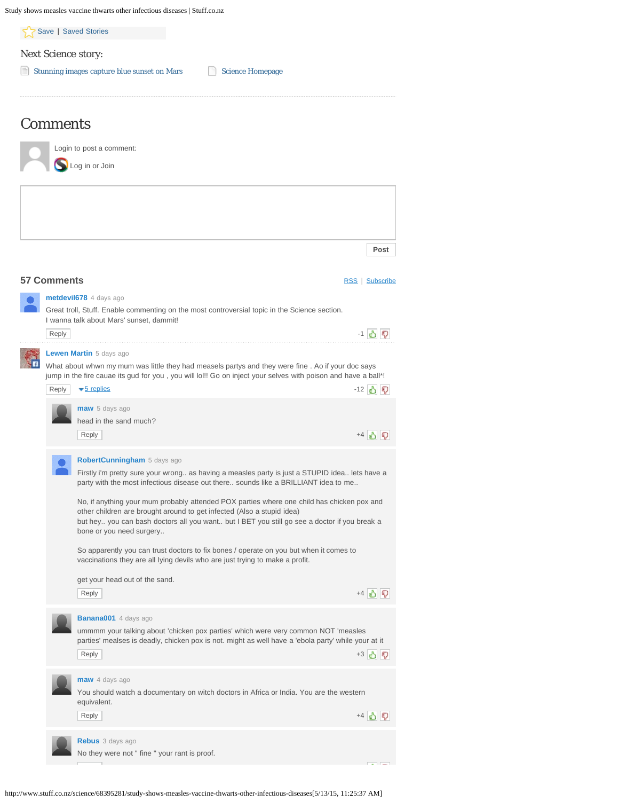<span id="page-2-0"></span>

|                         | Study shows measles vaccine thwarts other infectious diseases   Stuff.co.nz                                                                                                                                        |                 |  |  |  |
|-------------------------|--------------------------------------------------------------------------------------------------------------------------------------------------------------------------------------------------------------------|-----------------|--|--|--|
|                         | Save   Saved Stories                                                                                                                                                                                               |                 |  |  |  |
| Next Science story:     |                                                                                                                                                                                                                    |                 |  |  |  |
|                         | Stunning images capture blue sunset on Mars<br><b>Science Homepage</b>                                                                                                                                             |                 |  |  |  |
|                         |                                                                                                                                                                                                                    |                 |  |  |  |
| <b>Comments</b>         |                                                                                                                                                                                                                    |                 |  |  |  |
|                         | Login to post a comment:                                                                                                                                                                                           |                 |  |  |  |
|                         | Log in or Join                                                                                                                                                                                                     |                 |  |  |  |
|                         |                                                                                                                                                                                                                    |                 |  |  |  |
|                         |                                                                                                                                                                                                                    |                 |  |  |  |
|                         |                                                                                                                                                                                                                    |                 |  |  |  |
|                         |                                                                                                                                                                                                                    | Post            |  |  |  |
|                         |                                                                                                                                                                                                                    |                 |  |  |  |
| <b>57 Comments</b>      |                                                                                                                                                                                                                    | RSS   Subscribe |  |  |  |
|                         | metdevil678 4 days ago                                                                                                                                                                                             |                 |  |  |  |
|                         | Great troll, Stuff. Enable commenting on the most controversial topic in the Science section.<br>I wanna talk about Mars' sunset, dammit!                                                                          |                 |  |  |  |
| Reply                   |                                                                                                                                                                                                                    | -1 3 5          |  |  |  |
| Lewen Martin 5 days ago |                                                                                                                                                                                                                    |                 |  |  |  |
|                         | What about whwn my mum was little they had measels partys and they were fine. Ao if your doc says<br>jump in the fire cauae its gud for you, you will lol!! Go on inject your selves with poison and have a ball*! |                 |  |  |  |
| Reply                   | $\blacktriangledown$ 5 replies                                                                                                                                                                                     | -12 3 7         |  |  |  |
|                         | maw 5 days ago                                                                                                                                                                                                     |                 |  |  |  |
|                         | head in the sand much?                                                                                                                                                                                             |                 |  |  |  |
|                         | Reply                                                                                                                                                                                                              | +4 3 ?          |  |  |  |
|                         | <b>RobertCunningham</b> 5 days ago                                                                                                                                                                                 |                 |  |  |  |
|                         | Firstly i'm pretty sure your wrong as having a measles party is just a STUPID idea lets have a<br>party with the most infectious disease out there sounds like a BRILLIANT idea to me                              |                 |  |  |  |
|                         | No, if anything your mum probably attended POX parties where one child has chicken pox and                                                                                                                         |                 |  |  |  |
|                         | other children are brought around to get infected (Also a stupid idea)<br>but hey you can bash doctors all you want but I BET you still go see a doctor if you break a<br>bone or you need surgery                 |                 |  |  |  |
|                         | So apparently you can trust doctors to fix bones / operate on you but when it comes to<br>vaccinations they are all lying devils who are just trying to make a profit.                                             |                 |  |  |  |
|                         | get your head out of the sand.                                                                                                                                                                                     |                 |  |  |  |
|                         | Reply                                                                                                                                                                                                              | $+4$ 3 ?        |  |  |  |
|                         | <b>Banana001</b> 4 days ago                                                                                                                                                                                        |                 |  |  |  |
|                         | ummmm your talking about 'chicken pox parties' which were very common NOT 'measles<br>parties' mealses is deadly, chicken pox is not. might as well have a 'ebola party' while your at it                          |                 |  |  |  |
|                         | Reply                                                                                                                                                                                                              | +3 6 7          |  |  |  |
|                         | maw 4 days ago                                                                                                                                                                                                     |                 |  |  |  |
|                         | You should watch a documentary on witch doctors in Africa or India. You are the western                                                                                                                            |                 |  |  |  |
|                         | equivalent.<br>Reply                                                                                                                                                                                               | $+4$ 3 5        |  |  |  |
|                         |                                                                                                                                                                                                                    |                 |  |  |  |
|                         | Rebus 3 days ago                                                                                                                                                                                                   |                 |  |  |  |
|                         | No they were not " fine " your rant is proof.                                                                                                                                                                      |                 |  |  |  |

http://www.stuff.co.nz/science/68395281/study-shows-measles-vaccine-thwarts-other-infectious-diseases[5/13/15, 11:25:37 AM]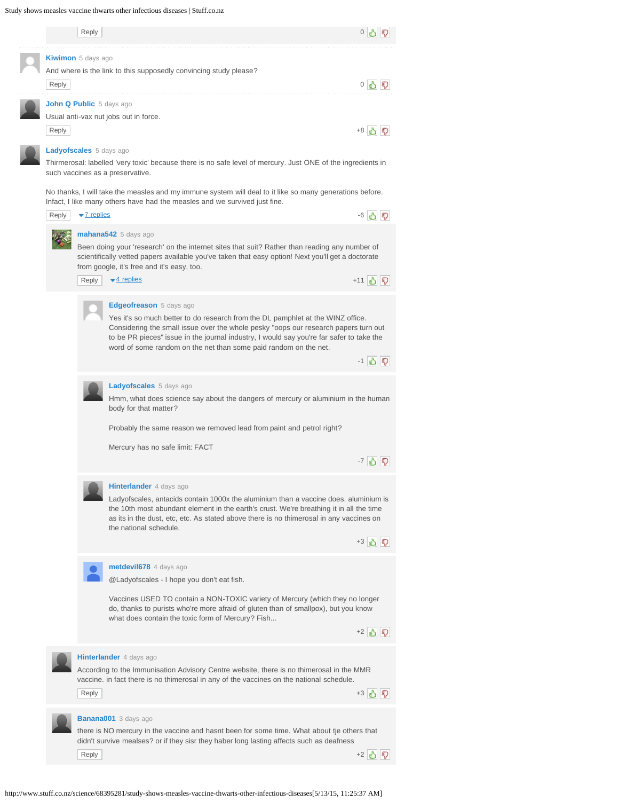### Study shows measles vaccine thwarts other infectious diseases | Stuff.co.nz

|  |       | Reply                                                                                                                                                                                  |                                                                                                                                                                                                                                                                                                                                                                   | $0 \leqslant 0$     |  |  |  |
|--|-------|----------------------------------------------------------------------------------------------------------------------------------------------------------------------------------------|-------------------------------------------------------------------------------------------------------------------------------------------------------------------------------------------------------------------------------------------------------------------------------------------------------------------------------------------------------------------|---------------------|--|--|--|
|  |       |                                                                                                                                                                                        |                                                                                                                                                                                                                                                                                                                                                                   |                     |  |  |  |
|  | Reply | Kiwimon 5 days ago                                                                                                                                                                     | And where is the link to this supposedly convincing study please?                                                                                                                                                                                                                                                                                                 | 0 3 1 5             |  |  |  |
|  |       | John Q Public 5 days ago                                                                                                                                                               |                                                                                                                                                                                                                                                                                                                                                                   |                     |  |  |  |
|  | Reply | Usual anti-vax nut jobs out in force.                                                                                                                                                  |                                                                                                                                                                                                                                                                                                                                                                   |                     |  |  |  |
|  |       | <b>Ladyofscales</b> 5 days ago<br>Thirmerosal: labelled 'very toxic' because there is no safe level of mercury. Just ONE of the ingredients in<br>such vaccines as a preservative.     |                                                                                                                                                                                                                                                                                                                                                                   |                     |  |  |  |
|  |       | No thanks, I will take the measles and my immune system will deal to it like so many generations before.<br>Infact, I like many others have had the measles and we survived just fine. |                                                                                                                                                                                                                                                                                                                                                                   |                     |  |  |  |
|  | Reply | $\blacktriangleright$ 7 replies                                                                                                                                                        |                                                                                                                                                                                                                                                                                                                                                                   | -6 凸 5              |  |  |  |
|  |       |                                                                                                                                                                                        | mahana542 5 days ago<br>Been doing your 'research' on the internet sites that suit? Rather than reading any number of<br>scientifically vetted papers available you've taken that easy option! Next you'll get a doctorate<br>from google, it's free and it's easy, too.                                                                                          |                     |  |  |  |
|  |       | Reply                                                                                                                                                                                  | $\blacktriangleright$ 4 replies                                                                                                                                                                                                                                                                                                                                   | +11 马 习             |  |  |  |
|  |       |                                                                                                                                                                                        | Edgeofreason 5 days ago<br>Yes it's so much better to do research from the DL pamphlet at the WINZ office.<br>Considering the small issue over the whole pesky "oops our research papers turn out<br>to be PR pieces" issue in the journal industry, I would say you're far safer to take the<br>word of some random on the net than some paid random on the net. | $-1$ 3 $\mathbb{Q}$ |  |  |  |
|  |       |                                                                                                                                                                                        |                                                                                                                                                                                                                                                                                                                                                                   |                     |  |  |  |
|  |       |                                                                                                                                                                                        | <b>Ladyofscales</b> 5 days ago<br>Hmm, what does science say about the dangers of mercury or aluminium in the human<br>body for that matter?                                                                                                                                                                                                                      |                     |  |  |  |
|  |       |                                                                                                                                                                                        | Probably the same reason we removed lead from paint and petrol right?                                                                                                                                                                                                                                                                                             |                     |  |  |  |
|  |       |                                                                                                                                                                                        | Mercury has no safe limit: FACT                                                                                                                                                                                                                                                                                                                                   | $-7$ $\geq$         |  |  |  |
|  |       |                                                                                                                                                                                        | Hinterlander 4 days ago<br>Ladyofscales, antacids contain 1000x the aluminium than a vaccine does. aluminium is<br>the 10th most abundant element in the earth's crust. We're breathing it in all the time<br>as its in the dust, etc, etc. As stated above there is no thimerosal in any vaccines on<br>the national schedule.                                   | +3 6 7              |  |  |  |
|  |       |                                                                                                                                                                                        | metdevil678 4 days ago                                                                                                                                                                                                                                                                                                                                            |                     |  |  |  |
|  |       |                                                                                                                                                                                        | @Ladyofscales - I hope you don't eat fish.                                                                                                                                                                                                                                                                                                                        |                     |  |  |  |
|  |       |                                                                                                                                                                                        | Vaccines USED TO contain a NON-TOXIC variety of Mercury (which they no longer<br>do, thanks to purists who're more afraid of gluten than of smallpox), but you know<br>what does contain the toxic form of Mercury? Fish                                                                                                                                          | +2 3 7              |  |  |  |
|  |       |                                                                                                                                                                                        |                                                                                                                                                                                                                                                                                                                                                                   |                     |  |  |  |
|  |       | Reply                                                                                                                                                                                  | Hinterlander 4 days ago<br>According to the Immunisation Advisory Centre website, there is no thimerosal in the MMR<br>vaccine. in fact there is no thimerosal in any of the vaccines on the national schedule.                                                                                                                                                   | +3 6 7              |  |  |  |
|  |       |                                                                                                                                                                                        |                                                                                                                                                                                                                                                                                                                                                                   |                     |  |  |  |
|  |       |                                                                                                                                                                                        | <b>Banana001</b> 3 days ago<br>there is NO mercury in the vaccine and hasnt been for some time. What about tje others that<br>didn't survive mealses? or if they sisr they haber long lasting affects such as deafness                                                                                                                                            |                     |  |  |  |
|  |       | Reply                                                                                                                                                                                  |                                                                                                                                                                                                                                                                                                                                                                   | $+2$                |  |  |  |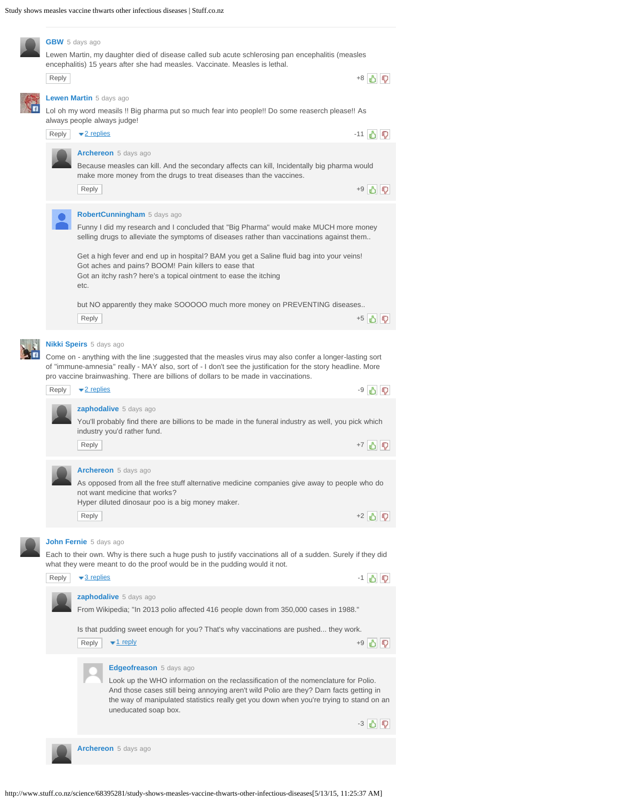|  | <b>GBW</b> 5 days ago                                                                            |                                                                                                                          |         |  |  |  |  |
|--|--------------------------------------------------------------------------------------------------|--------------------------------------------------------------------------------------------------------------------------|---------|--|--|--|--|
|  | Lewen Martin, my daughter died of disease called sub acute schlerosing pan encephalitis (measles |                                                                                                                          |         |  |  |  |  |
|  |                                                                                                  | encephalitis) 15 years after she had measles. Vaccinate. Measles is lethal.                                              |         |  |  |  |  |
|  | Reply                                                                                            |                                                                                                                          | $+8$    |  |  |  |  |
|  | <b>Lewen Martin</b> 5 days ago                                                                   |                                                                                                                          |         |  |  |  |  |
|  | Lol oh my word measils !! Big pharma put so much fear into people!! Do some reaserch please!! As |                                                                                                                          |         |  |  |  |  |
|  | always people always judge!                                                                      |                                                                                                                          |         |  |  |  |  |
|  | Reply                                                                                            | $\blacktriangleright$ 2 replies                                                                                          | -11 A D |  |  |  |  |
|  |                                                                                                  | <b>Archereon</b> 5 days ago                                                                                              |         |  |  |  |  |
|  |                                                                                                  | Because measles can kill. And the secondary affects can kill, Incidentally big pharma would                              |         |  |  |  |  |
|  |                                                                                                  | make more money from the drugs to treat diseases than the vaccines.<br>Reply                                             |         |  |  |  |  |
|  |                                                                                                  |                                                                                                                          |         |  |  |  |  |
|  |                                                                                                  |                                                                                                                          |         |  |  |  |  |
|  |                                                                                                  | RobertCunningham 5 days ago                                                                                              |         |  |  |  |  |
|  |                                                                                                  | Funny I did my research and I concluded that "Big Pharma" would make MUCH more money                                     |         |  |  |  |  |
|  |                                                                                                  | selling drugs to alleviate the symptoms of diseases rather than vaccinations against them                                |         |  |  |  |  |
|  |                                                                                                  | Get a high fever and end up in hospital? BAM you get a Saline fluid bag into your veins!                                 |         |  |  |  |  |
|  |                                                                                                  | Got aches and pains? BOOM! Pain killers to ease that<br>Got an itchy rash? here's a topical ointment to ease the itching |         |  |  |  |  |
|  |                                                                                                  | etc.                                                                                                                     |         |  |  |  |  |
|  |                                                                                                  |                                                                                                                          |         |  |  |  |  |
|  |                                                                                                  | but NO apparently they make SOOOOO much more money on PREVENTING diseases<br>Reply                                       | +5 6 7  |  |  |  |  |
|  |                                                                                                  |                                                                                                                          |         |  |  |  |  |
|  | <b>Nikki Speirs</b> 5 days ago                                                                   |                                                                                                                          |         |  |  |  |  |
|  |                                                                                                  | Come on - anything with the line ; suggested that the measles virus may also confer a longer-lasting sort                |         |  |  |  |  |
|  |                                                                                                  | of "immune-amnesia" really - MAY also, sort of - I don't see the justification for the story headline. More              |         |  |  |  |  |
|  |                                                                                                  | pro vaccine brainwashing. There are billions of dollars to be made in vaccinations.                                      |         |  |  |  |  |
|  | Reply                                                                                            | $\blacktriangleright$ 2 replies                                                                                          | -9 승규   |  |  |  |  |
|  |                                                                                                  | <b>zaphodalive</b> 5 days ago                                                                                            |         |  |  |  |  |
|  |                                                                                                  | You'll probably find there are billions to be made in the funeral industry as well, you pick which                       |         |  |  |  |  |
|  |                                                                                                  | industry you'd rather fund.                                                                                              |         |  |  |  |  |
|  |                                                                                                  | Reply                                                                                                                    | +7 白 1  |  |  |  |  |
|  |                                                                                                  | Archereon 5 days ago                                                                                                     |         |  |  |  |  |
|  |                                                                                                  | As opposed from all the free stuff alternative medicine companies give away to people who do                             |         |  |  |  |  |
|  |                                                                                                  | not want medicine that works?                                                                                            |         |  |  |  |  |
|  |                                                                                                  | Hyper diluted dinosaur poo is a big money maker.                                                                         |         |  |  |  |  |
|  |                                                                                                  | Reply                                                                                                                    | +2 3 5  |  |  |  |  |
|  |                                                                                                  | John Fernie 5 days ago                                                                                                   |         |  |  |  |  |
|  |                                                                                                  | Each to their own. Why is there such a huge push to justify vaccinations all of a sudden. Surely if they did             |         |  |  |  |  |
|  |                                                                                                  | what they were meant to do the proof would be in the pudding would it not.                                               |         |  |  |  |  |
|  | Reply                                                                                            | $\blacktriangleright$ 3 replies                                                                                          | -1 5 P  |  |  |  |  |
|  |                                                                                                  | zaphodalive 5 days ago                                                                                                   |         |  |  |  |  |
|  |                                                                                                  | From Wikipedia; "In 2013 polio affected 416 people down from 350,000 cases in 1988."                                     |         |  |  |  |  |
|  |                                                                                                  |                                                                                                                          |         |  |  |  |  |
|  |                                                                                                  | Is that pudding sweet enough for you? That's why vaccinations are pushed they work.                                      |         |  |  |  |  |
|  |                                                                                                  | Reply<br>$\blacktriangledown$ 1 reply                                                                                    | +9 3 5  |  |  |  |  |
|  |                                                                                                  |                                                                                                                          |         |  |  |  |  |
|  |                                                                                                  | Edgeofreason 5 days ago<br>Look up the WHO information on the reclassification of the nomenclature for Polio.            |         |  |  |  |  |
|  |                                                                                                  | And those cases still being annoying aren't wild Polio are they? Darn facts getting in                                   |         |  |  |  |  |
|  |                                                                                                  | the way of manipulated statistics really get you down when you're trying to stand on an                                  |         |  |  |  |  |
|  |                                                                                                  | uneducated soap box.                                                                                                     | -3 3 D  |  |  |  |  |
|  |                                                                                                  |                                                                                                                          |         |  |  |  |  |
|  |                                                                                                  | Archereon 5 days ago                                                                                                     |         |  |  |  |  |
|  |                                                                                                  |                                                                                                                          |         |  |  |  |  |

```
http://www.stuff.co.nz/science/68395281/study-shows-measles-vaccine-thwarts-other-infectious-diseases[5/13/15, 11:25:37 AM]
```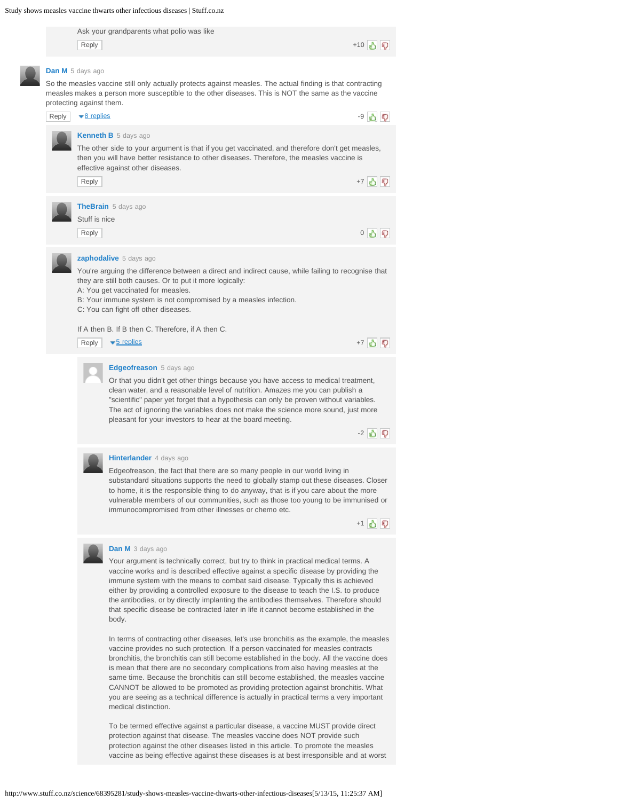

Or that you didn't get other things because you have access to medical treatment, clean water, and a reasonable level of nutrition. Amazes me you can publish a "scientific" paper yet forget that a hypothesis can only be proven without variables. The act of ignoring the variables does not make the science more sound, just more pleasant for your investors to hear at the board meeting.

-2 日 5

#### **[Hinterlander](#page-0-1)** 4 days ago

Edgeofreason, the fact that there are so many people in our world living in substandard situations supports the need to globally stamp out these diseases. Closer to home, it is the responsible thing to do anyway, that is if you care about the more vulnerable members of our communities, such as those too young to be immunised or immunocompromised from other illnesses or chemo etc.

+1 5 7



#### **[Dan M](#page-0-1)** 3 days ago

Your argument is technically correct, but try to think in practical medical terms. A vaccine works and is described effective against a specific disease by providing the immune system with the means to combat said disease. Typically this is achieved either by providing a controlled exposure to the disease to teach the I.S. to produce the antibodies, or by directly implanting the antibodies themselves. Therefore should that specific disease be contracted later in life it cannot become established in the body.

In terms of contracting other diseases, let's use bronchitis as the example, the measles vaccine provides no such protection. If a person vaccinated for measles contracts bronchitis, the bronchitis can still become established in the body. All the vaccine does is mean that there are no secondary complications from also having measles at the same time. Because the bronchitis can still become established, the measles vaccine CANNOT be allowed to be promoted as providing protection against bronchitis. What you are seeing as a technical difference is actually in practical terms a very important medical distinction.

To be termed effective against a particular disease, a vaccine MUST provide direct protection against that disease. The measles vaccine does NOT provide such protection against the other diseases listed in this article. To promote the measles vaccine as being effective against these diseases is at best irresponsible and at worst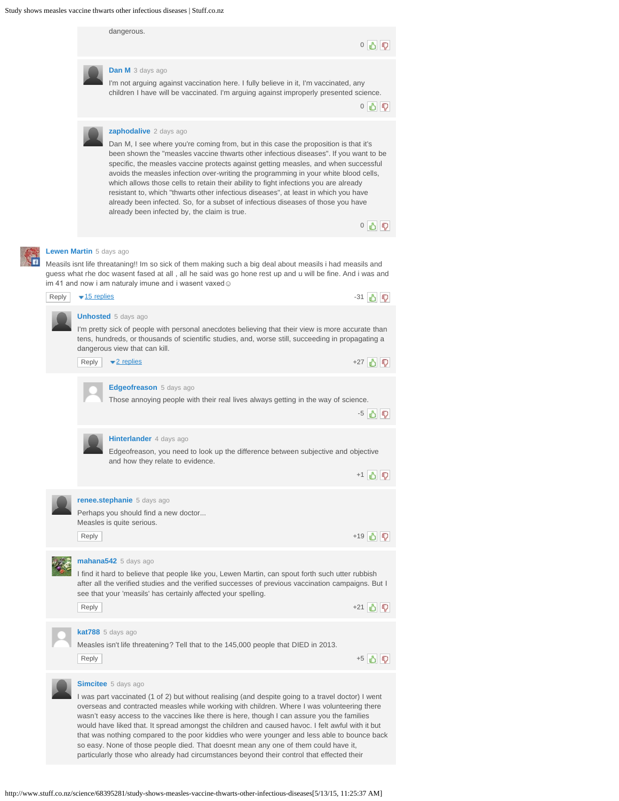

http://www.stuff.co.nz/science/68395281/study-shows-measles-vaccine-thwarts-other-infectious-diseases[5/13/15, 11:25:37 AM]

so easy. None of those people died. That doesnt mean any one of them could have it, particularly those who already had circumstances beyond their control that effected their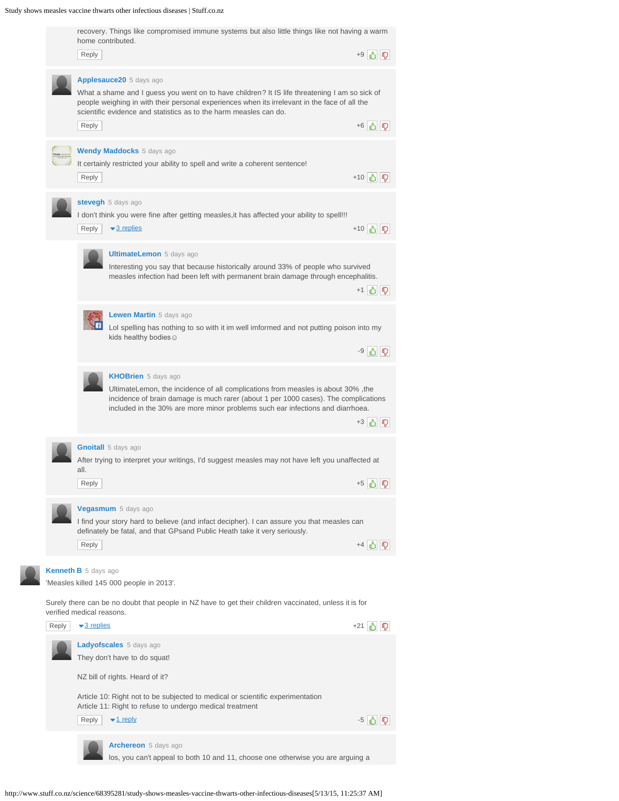Study shows measles vaccine thwarts other infectious diseases | Stuff.co.nz